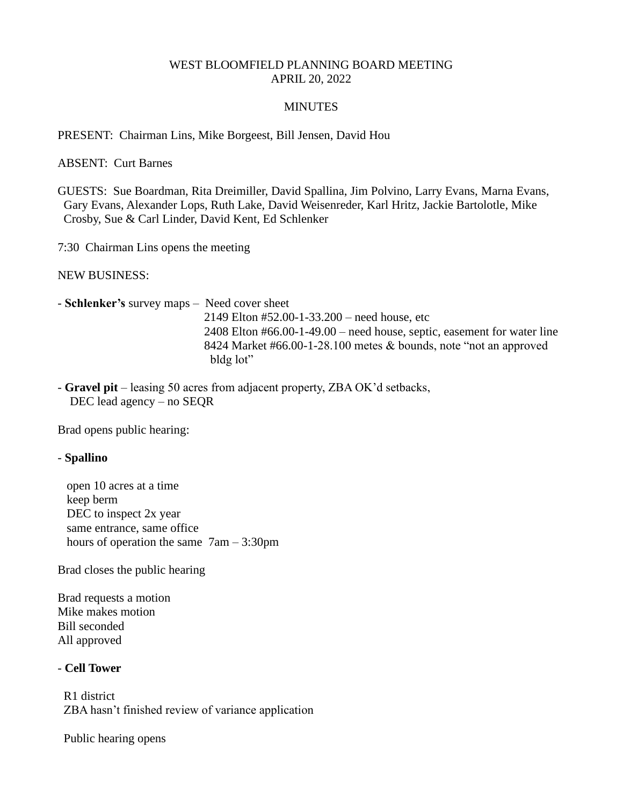## WEST BLOOMFIELD PLANNING BOARD MEETING APRIL 20, 2022

## MINUTES

PRESENT: Chairman Lins, Mike Borgeest, Bill Jensen, David Hou

ABSENT: Curt Barnes

GUESTS: Sue Boardman, Rita Dreimiller, David Spallina, Jim Polvino, Larry Evans, Marna Evans, Gary Evans, Alexander Lops, Ruth Lake, David Weisenreder, Karl Hritz, Jackie Bartolotle, Mike Crosby, Sue & Carl Linder, David Kent, Ed Schlenker

7:30 Chairman Lins opens the meeting

NEW BUSINESS:

- **Schlenker's** survey maps – Need cover sheet 2149 Elton #52.00-1-33.200 – need house, etc 2408 Elton #66.00-1-49.00 – need house, septic, easement for water line 8424 Market #66.00-1-28.100 metes & bounds, note "not an approved bldg lot"

- **Gravel pit** – leasing 50 acres from adjacent property, ZBA OK'd setbacks, DEC lead agency – no SEQR

Brad opens public hearing:

## - **Spallino**

 open 10 acres at a time keep berm DEC to inspect 2x year same entrance, same office hours of operation the same 7am – 3:30pm

Brad closes the public hearing

Brad requests a motion Mike makes motion Bill seconded All approved

## - **Cell Tower**

 R1 district ZBA hasn't finished review of variance application

Public hearing opens